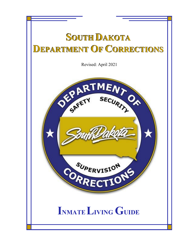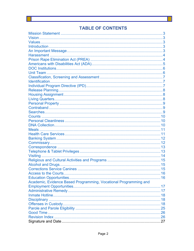# **TABLE OF CONTENTS**

| Access to the Courts                                             | 16 |
|------------------------------------------------------------------|----|
|                                                                  |    |
| Academic, Evidence Based Programming, Vocational Programming and |    |
|                                                                  |    |
|                                                                  |    |
|                                                                  |    |
|                                                                  |    |
|                                                                  |    |
|                                                                  |    |
|                                                                  |    |
|                                                                  |    |
|                                                                  |    |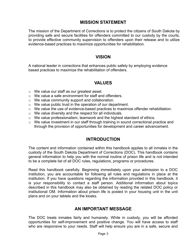## MISSION STATEMENT

The mission of the Department of Corrections is to protect the citizens of South Dakota by providing safe and secure facilities for offenders committed to our custody by the courts, to provide effective community supervision to offenders upon their release and to utilize evidence-based practices to maximize opportunities for rehabilitation.

#### VISION

A national leader in corrections that enhances public safety by employing evidence based practices to maximize the rehabilitation of offenders.

#### VALUES

- o We value our staff as our greatest asset.
- o We value a safe environment for staff and offenders.
- o We value community support and collaboration.
- o We value public trust in the operation of our department.
- o We value the use of evidence-based practices to maximize offender rehabilitation.
- o We value diversity and the respect for all individuals.
- o We value professionalism, teamwork and the highest standard of ethics.
- o We value investment in our staff through training in sound correctional practice and through the provision of opportunities for development and career advancement.

#### INTRODUCTION

The content and information contained within this handbook applies to all inmates in the custody of the South Dakota Department of Corrections (DOC). This handbook contains general information to help you with the normal routine of prison life and is not intended to be a complete list of all DOC rules, regulations, programs or procedures.

Read this handbook carefully. Beginning immediately upon your admission to a DOC institution, you are accountable for following all rules and regulations in place at the institution. If you have questions regarding the information provided in this handbook, it is your responsibility to contact a staff person. Additional information about topics described in this handbook may also be obtained by reading the related DOC policy or institutional OM. Information about prison life is posted in your housing unit in the unit plans and on your tablets and the kiosks.

#### AN IMPORTANT MESSAGE

The DOC treats inmates fairly and humanely. While in custody, you will be afforded opportunities for self-improvement and positive change. You will have access to staff who are responsive to your needs. Staff will help ensure you are in a safe, secure and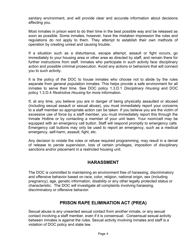sanitary environment, and will provide clear and accurate information about decisions affecting you.

Most inmates in prison want to do their time in the best possible way and be released as soon as possible. Some inmates, however, have the mistaken impression the rules and regulations do not apply to them. They attempt to establish their own methods of operation by creating unrest and causing trouble.

If a situation such as a disturbance, escape attempt, assault or fight occurs, go immediately to your housing area or other area as directed by staff, and remain there for further instructions from staff. Inmates who participate in such activity face disciplinary action and possible criminal prosecution. Avoid any actions or behaviors that will connect you to such activity.

It is the policy of the DOC to house inmates who choose not to abide by the rules separate from general population inmates. This helps provide a safe environment for all inmates to serve their time. See DOC policy 1.3.D.1 Disciplinary Housing and DOC policy 1.3.D.4 Restrictive Housing for more information.

If, at any time, you believe you are in danger of being physically assaulted or abused (including sexual assault or sexual abuse), you must immediately report your concerns to a staff member so appropriate action can be taken. If you believe you are the victim of excessive use of force by a staff member, you must immediately report this through the Inmate Hotline or by contacting a member of your unit team. Your room/cell may be equipped with an emergency call button. Staff will respond promptly to emergency calls. Emergency call buttons may only be used to report an emergency, such as a medical emergency, self-harm, assault, fight, etc.

Any decision to violate the rules or refuse required programming, may result in a denial of release to parole supervision, loss of certain privileges, imposition of disciplinary sanctions and/or placement in a restricted housing unit.

## HARASSMENT

The DOC is committed to maintaining an environment free of harassing, discriminatory and offensive behavior based on race, color, religion, national origin, sex (including pregnancy), age, genetic information, disability or any other legally protected status or characteristic. The DOC will investigate all complaints involving harassing, discriminatory or offensive behavior.

## PRISON RAPE ELIMINATION ACT (PREA)

Sexual abuse is any unwanted sexual contact from another inmate, or any sexual contact involving a staff member, even if it is consensual. Consensual sexual activity between inmates is against the rules. Sexual activity involving inmates and staff is a violation of DOC policy and state law.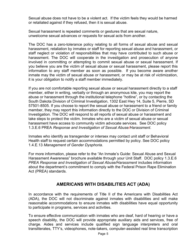Sexual abuse does not have to be a violent act. If the victim feels they would be harmed or retaliated against if they refused, then it is sexual abuse.

Sexual harassment is repeated comments or gestures that are sexual nature, unwelcome sexual advances or requests for sexual acts from another.

The DOC has a zero-tolerance policy relating to all forms of sexual abuse and sexual harassment, retaliation by inmates or staff for reporting sexual abuse and harassment, or staff neglect or violation of responsibilities that may have contributed to such abuse or harassment. The DOC will cooperate in the investigation and prosecution of anyone involved in committing or attempting to commit sexual abuse or sexual harassment. If you believe you are the victim of sexual abuse or sexual harassment, please report this information to any staff member as soon as possible. If you become aware another inmate may the victim of sexual abuse or harassment, or may be at risk of victimization, it is your obligation to notify a staff member immediately.

If you are not comfortable reporting sexual abuse or sexual harassment directly to a staff member, either in writing, verbally or through an anonymous kite, you may report the abuse or harassment through the institutional telephone "hotline", or by contacting the South Dakota Division of Criminal Investigation, 1302 East Hwy 14, Suite 5, Pierre, SD 57501-8505. If you choose to report the sexual abuse or harassment to a friend or family member, they may report this information directly to the DOC or Division of Criminal Investigation. The DOC will respond to all reports of sexual abuse or harassment and take steps to protect the victim. Inmates who are a victim of sexual abuse or sexual harassment have access to community victim advocate services. See DOC policy 1.3.E.6 PREA Response and Investigation of Sexual Abuse/Harassment.

Inmates who identify as transgender or intersex may contact unit staff or Behavioral Health staff to request certain accommodations permitted by policy. See DOC policy 1.4.E.13 Management of Gender Dysphoria.

For more information, please refer to the "An Inmate's Guide: Sexual Abuse and Sexual Harassment Awareness" brochure available through your Unit Staff. DOC policy 1.3.E.6 PREA Response and Investigation of Sexual Abuse/Harassment includes information about the department's commitment to comply with the Federal Prison Rape Elimination Act (PREA) standards.

## AMERICANS WITH DISABILITIES ACT (ADA)

In accordance with the requirements of Title II of the Americans with Disabilities Act (ADA), the DOC will not discriminate against inmates with disabilities and will make reasonable accommodations to ensure inmates with disabilities have equal opportunity to participate in programs, services and activities.

To ensure effective communication with inmates who are deaf, hard of hearing or have a speech disability, the DOC will provide appropriate auxiliary aids and services, free of charge. Aides and services include qualified sign language interpreters and oral transliterates, TTY's, videophones, note-takers, computer-assisted real time transcription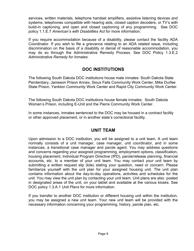services, written materials, telephone handset amplifiers, assistive listening devices and systems, telephones compatible with hearing aids, closed caption decoders, or TV's with build-in captioning, and open and closed captioning of any programming. See DOC policy 1.1.E.7 American's with Disabilities Act for more information.

If you require accommodation because of a disability, please contact the facility ADA Coordinator. If you wish to file a grievance relating to an ADA related issue, including discrimination on the basis of a disability or denial of reasonable accommodation, you may do so through the Administrative Remedy Process. See DOC Policy 1.3.E.2 Administrative Remedy for Inmates.

## DOC INSTITUTIONS

The following South Dakota DOC institutions house male inmates: South Dakota State Penitentiary, Jameson Prison Annex, Sioux Falls Community Work Center, Mike Durfee State Prison, Yankton Community Work Center and Rapid City Community Work Center.

The following South Dakota DOC institutions house female inmates: South Dakota Women's Prison, including E-Unit and the Pierre Community Work Center.

In some instances, inmates sentenced to the DOC may be housed in a contract facility or other approved placement, or in another state's correctional facility.

## UNIT TEAM

Upon admission to a DOC institution, you will be assigned to a unit team. A unit team normally consists of a unit manager, case manager, unit coordinator, and in some instances, a transitional case manager and parole agent. You may address questions and concerns regarding your assigned programming, employment options, classification, housing placement, Individual Program Directive (IPD), parole/release planning, financial accounts, etc. to a member of your unit team. You may contact your unit team by submitting a written request slip (kite) stating your question, need or concern. Please familiarize yourself with the unit plan for your assigned housing unit. The unit plan contains information about the day-to-day operations, activities and schedules for the unit. You may view the unit plan by contacting your unit team. Unit plans are also posted in designated areas of the unit, on your tablet and available at the various kiosks. See DOC policy 1.3.A.1 Unit Plans for more information.

If you transfer to another DOC institution or different housing unit within the institution, you may be assigned a new unit team. Your new unit team will be provided with the necessary information concerning your programming, history, parole plan, etc.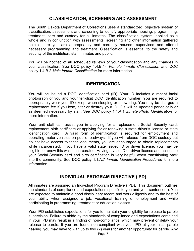## CLASSIFICATION, SCREENING AND ASSESSMENT

The South Dakota Department of Corrections uses a standardized, objective system of classification, assessment and screening to identify appropriate housing, programming, treatment, care and custody for all inmates. The classification system, applied as a whole and in conjunction with assessments, screening and other information gathered help ensure you are appropriately and correctly housed, supervised and offered necessary programming and treatment. Classification is essential to the safety and security of the institution, staff, inmates and public.

You will be notified of all scheduled reviews of your classification and any changes in your classification. See DOC policy 1.4.B.14 Female Inmate Classification and DOC policy 1.4.B.2 Male Inmate Classification for more information.

## IDENTIFICATION

You will be issued a DOC identification card (ID). Your ID includes a recent facial photograph of you and your ten-digit DOC identification number. You are required to appropriately wear your ID except when sleeping or showering. You may be charged a replacement fee if you lose, alter or destroy your ID. IDs will be updated periodically or as deemed necessary by staff. See DOC policy 1.4.A.1 Inmate Photo Identification for more information.

Your unit staff can assist you in applying for a replacement Social Security card, replacement birth certificate or applying for or renewing a state driver's license or state identification card. A valid form of identification is required for employment and operating motor vehicles on public roadways. If you will release from DOC custody but do not have access to these documents, you are encouraged to obtain replacements while incarcerated. If you have a valid state issued ID or driver license, you may be eligible to renew this while incarcerated. Having a valid ID or driver license and access to your Social Security card and birth certification is very helpful when transitioning back into the community. See DOC policy 1.1.A.7 Inmate Identification Procedures for more information.

## INDIVIDUAL PROGRAM DIRECTIVE (IPD)

All inmates are assigned an Individual Program Directive (IPD). This document outlines the standards of compliance and expectations specific to you and your sentence(s). You are expected to maintain a good disciplinary record and work diligently and to the best of your ability when assigned a job, vocational training or employment and while participating in programming, treatment or education classes.

Your IPD establishes expectations for you to maintain your eligibility for release to parole supervision. Failure to abide by the standards of compliance and expectations contained in your IPD may result in a finding of non-compliance, which may prevent or delay your release to parole. If you are found non-compliant with your IPD at your initial parole hearing, you may have to wait up to two (2) years for another opportunity for parole. Any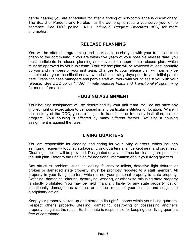parole hearing you are scheduled for after a finding of non-compliance is discretionary. The Board of Pardons and Paroles has the authority to require you serve your entire sentence. See DOC policy 1.4.B.1 Individual Program Directives (IPD) for more information.

#### RELEASE PLANNING

You will be offered programming and services to assist you with your transition from prison to the community. If you are within five years of your possible release date, you must participate in release planning and develop an appropriate release plan, which must be approved by your unit team. Your release plan will be reviewed at least annually by you and members of your unit team. Changes to your release plan will normally be completed at your classification review and at least sixty days prior to your initial parole date. Transition case managers and parole staff will work with you to assist you with your release. See DOC policy 1.4.G.1 Inmate Release Plans and Transitional Programming for more information.

## HOUSING ASSIGNMENT

Your housing assignment will be determined by your unit team. You do not have any implied right or expectation to be housed in any particular institution or location. While in the custody of the DOC, you are subject to transfer to or from any institution, unit, or program. Your housing is affected by many different factors. Refusing a housing assignment is against the rules.

## LIVING QUARTERS

You are responsible for cleaning and caring for your living quarters, which includes sanitizing frequently touched surfaces. Living quarters shall be kept neat and organized. Cleaning supplies will be provided. Designated days and times for cleaning are posted in the unit plan. Refer to the unit plan for additional information about your living quarters.

Any structural problem, such as leaking faucets or toilets, defective light fixtures or broken or damaged state property, must be promptly reported to a staff member. All property in your living quarters which is not your personal property is state property. Defacing, damaging, altering, destroying, wasting, or otherwise misusing state property is strictly prohibited. You may be held financially liable for any state property lost or intentionally damaged as a direct or indirect result of your actions and subject to disciplinary action.

Keep your property picked up and stored in its rightful space within your living quarters. Respect other's property. Stealing, damaging, destroying or possessing another's property is against the rules. Each inmate is responsible for keeping their living quarters free of contraband.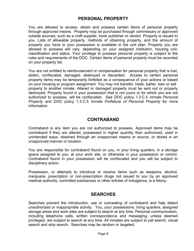## PERSONAL PROPERTY

You are allowed to access, obtain and possess certain items of personal property through approved means. Property may be purchased through commissary or approved outside sources, such as a craft supplier, book publisher or vendor. Property is issued to you. Lists of allowable property, methods of obtaining property, and the amount of property you have in your possession is available in the unit plan. Property you are allowed to possess will vary, depending on your assigned institution, housing unit, classification and status. Your privilege to possess personal property is subject to the rules and requirements of the DOC. Certain items of personal property must be recorded on your property list.

You are not entitled to reimbursement or compensation for personal property that is lost, stolen, confiscated, damaged, destroyed or discarded. Access to certain personal property items may be temporarily forfeited as a consequence of your actions or based on your housing or program assignment. You may not transfer, trade, barter, loan or sell property to another inmate. Altered or damaged property must be sent out or properly destroyed. Property found in your possession that is not yours or for which you are not authorized to possess, will be confiscated. See DOC policy 1.3.C.4 Inmate Personal Property and DOC policy 1.3.C.5 Inmate Forfeiture of Personal Property for more information.

#### CONTRABAND

Contraband is any item you are not authorized to possess. Approved items may be contraband if they are altered, possessed in higher quantity than authorized, used in unintended ways, obtained through an unapproved means or source, or stored in an unapproved manner or location.

You are responsible for contraband found on you, in your living quarters, in a storage space assigned to you, at your work site, or otherwise in your possession or control. Contraband found in your possession will be confiscated and you will be subject to disciplinary action.

Possession, or attempts to introduce or receive items such as weapons, alcohol, marijuana, prescription or non-prescription drugs not issued to you by an approved medical authority, controlled substances or other articles of indulgence, is a felony.

## **SEARCHES**

Searches prevent the introduction, use or concealing of contraband and help detect unauthorized or inappropriate activity. You, your possessions, living quarters, assigned storage areas and work sites are subject to search at any time. Personal communication, including telephone calls, written correspondence and messaging, unless deemed privileged, are subject to search at any time. All inmates are subject to pat search, visual search and strip search. Searches may be random or targeted.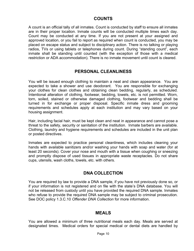#### COUNTS

A count is an official tally of all inmates. Count is conducted by staff to ensure all inmates are in their proper location. Inmate counts will be conducted multiple times each day. Count may be conducted at any time. If you are not present at your assigned and approved location, or you fail to report as required when count is conducted, you may be placed on escape status and subject to disciplinary action. There is no talking or playing radios, TVs or using tablets or telephones during count. During "standing count", each inmate shall be standing until counted (with the exception of those with a medical restriction or ADA accommodation). There is no inmate movement until count is cleared.

## PERSONAL CLEANLINESS

You will be issued enough clothing to maintain a neat and clean appearance. You are expected to take a shower and use deodorant. You are responsible for exchanging your clothes for clean clothes and obtaining clean bedding, regularly, as scheduled. Intentional alteration of clothing, footwear, bedding, towels, etc. is not permitted. Worn, torn, soiled, stained or otherwise damaged clothing, footwear and bedding shall be turned in for exchange or proper disposal. Specific inmate dress and grooming requirements and schedules apply at each institution and may vary based on your housing assignment.

Hair, including facial hair, must be kept clean and neat in appearance and cannot pose a threat to the safety, security or sanitation of the institution. Inmate barbers are available. Clothing, laundry and hygiene requirements and schedules are included in the unit plan or posted directives.

Inmates are expected to practice personal cleanliness, which includes cleaning your hands with available sanitizers and/or washing your hands with soap and water (for at least 20 seconds). Cover your nose and mouth with a tissue when coughing or sneezing and promptly dispose of used tissues in appropriate waste receptacles. Do not share cups, utensils, wash cloths, towels, etc. with others.

## DNA COLLECTION

You are required by law to provide a DNA sample, if you have not previously done so, or if your information is not registered and on file with the state's DNA database. You will not be released from custody until you have provided the required DNA sample. Inmates who refuse to provide the required DNA sample may be subject to criminal prosecution. See DOC policy 1.3.C.10 Offender DNA Collection for more information.

## MEALS

You are allowed a minimum of three nutritional meals each day. Meals are served at designated times. Medical orders for special medical or dental diets are handled by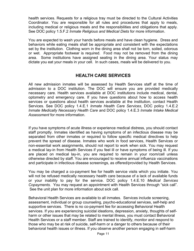health services. Requests for a religious tray must be directed to the Cultural Activities Coordinator. You are responsible for all rules and procedures that apply to meals, including medical or religious meals and the responsibilities and obligations that apply. See DOC policy 1.5.F.2 Inmate Religious and Medical Diets for more information.

You are expected to wash your hands before meals and have clean hygiene. Dress and behaviors while eating meals shall be appropriate and consistent with the expectations set by the institution. Clothing worn in the dining area shall not be torn, soiled, odorous or wet. Appropriate footwear is required. Food may not be removed from the dining area. Some institutions have assigned seating in the dining area. Your status may dictate you eat your meals in your cell. In such cases, meals will be delivered to you.

## HEALTH CARE SERVICES

All new admission inmates will be assessed by Health Services staff at the time of admission to a DOC institution. The DOC will ensure you are provided medically necessary care. Health services available at DOC institutions include medical, dental, optometry and emergency care. If you have questions about how to access health services or questions about health services available at the institution, contact Health Services. See DOC policy 1.4.E.1 Inmate Health Care Services, DOC policy 1.4.E.2 Inmate Medically Necessary Health Care and DOC policy 1.4.E.3 Inmate Intake Medical Assessment for more information.

If you have symptoms of acute illness or experience medical distress, you should contact staff promptly. Inmates identified as having symptoms of an infectious disease may be separated from other inmates or required to follow specific medical directives to help prevent the spread of disease. Inmates who work in food services, Health Services or non-essential work assignments, should not report to work when sick. You may request a medical lay-in from Health Services if you feel ill or have symptoms of being ill. If you are placed on medical lay-in, you are required to remain in your room/cell unless otherwise directed by staff. You are encouraged to receive annual influenza vaccinations and participate in infectious disease screenings, as offered/provided by Health Services.

You may be charged a co-payment fee for health service visits which you initiate. You will not be refused medically necessary health care because of a lack of available funds or your inability to pay for the service. DOC policy 1.4.E.10 Medical Services Copayments. You may request an appointment with Health Services through "sick call". See the unit plan for more information about sick call.

Behavioral Health Services are available to all inmates. Services include screening, assessment, individual or group counseling, psycho-educational services, self-help and supportive services. There is no co-payment fee for accessing Behavioral Health services. If you are experiencing suicidal ideations, depression, anxiety, thoughts of selfharm or other issues that may be related to mental illness, you must contact Behavioral Health Services or a staff member. Staff are trained to identify, monitor and respond to those who may be at risk of suicide, self-harm or a danger to others because of their behavioral health issues or illness. If you observe another person engaging in self-harm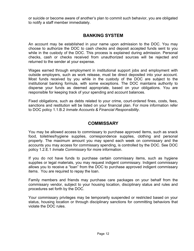or suicide or become aware of another's plan to commit such behavior, you are obligated to notify a staff member immediately.

## BANKING SYSTEM

An account may be established in your name upon admission to the DOC. You may choose to authorize the DOC to cash checks and deposit accepted funds sent to you while in the custody of the DOC. This process is explained during admission. Personal checks, cash or checks received from unauthorized sources will be rejected and returned to the sender at your expense.

Wages earned through employment in institutional support jobs and employment with outside employers, such as work release, must be direct deposited into your account. Most funds received by you while in the custody of the DOC are subject to the institutional banking formula, with some exceptions. The DOC maintains authority to disperse your funds as deemed appropriate, based on your obligations. You are responsible for keeping track of your spending and account balances.

Fixed obligations, such as debts related to your crime, court-ordered fines, costs, fees, sanctions and restitution will be listed on your financial plan. For more information refer to DOC policy 1.1.B.2 Inmate Accounts & Financial Responsibility.

## **COMMISSARY**

You may be allowed access to commissary to purchase approved items, such as snack food, toiletries/hygiene supplies, correspondence supplies, clothing and personal property. The maximum amount you may spend each week on commissary and the accounts you may access for commissary spending, is controlled by the DOC. See DOC policy 1.2.E.1 Inmate Commissary for more information.

If you do not have funds to purchase certain commissary items, such as hygiene supplies or legal materials, you may request indigent commissary. Indigent commissary allows you to receive a "loan" from the DOC to purchase approved indigent commissary items. You are required to repay the loan.

Family members and friends may purchase care packages on your behalf from the commissary vendor, subject to your housing location, disciplinary status and rules and procedures set forth by the DOC.

Your commissary privileges may be temporarily suspended or restricted based on your status, housing location or through disciplinary sanctions for committing behaviors that violate the DOC rules.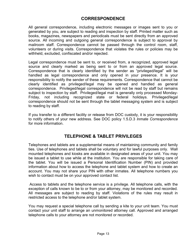## CORRESPONDENCE

All general correspondence, including electronic messages or images sent to you or generated by you, are subject to reading and inspection by staff. Printed matter such as books, magazines, newspapers and periodicals must be sent directly from an approved source. All incoming and outgoing general correspondence is subject to approval by mailroom staff. Correspondence cannot be passed through the control room, staff, volunteers or during visits. Correspondence that violates the rules or policies may be withheld, excluded, confiscated and/or rejected.

Legal correspondence must be sent to, or received from, a recognized, approved legal source and clearly marked as being sent to or from an approved legal source. Correspondence that is clearly identified by the sender as "privileged/legal" will be handled as legal correspondence and only opened in your presence. It is your responsibility to notify the sender of these requirements. Correspondence that cannot be clearly identified as privileged/legal may be opened and handled as general correspondence. Privileged/legal correspondence will not be read by staff but remains subject to inspection by staff. Privileged/legal mail is generally only processed Monday-Friday, not including recognized state or federal holidays. Privileged/legal correspondence should not be sent through the tablet messaging system and is subject to reading by staff.

If you transfer to a different facility or release from DOC custody, it is your responsibility to notify others of your new address. See DOC policy 1.5.D.3 Inmate Correspondence for more information.

## TELEPHONE & TABLET PRIVILEGES

Telephones and tablets are a supplemental means of maintaining community and family ties. Use of telephones and tablets shall be voluntary and for lawful purposes only. Wall mounted telephones and kiosks are available in designated areas of your unit. You may be issued a tablet to use while at the institution. You are responsible for taking care of the tablet. You will be issued a Personal Identification Number (PIN) and provided information about how to access the telephone and tablet system and how to create an account. You may not share your PIN with other inmates. All telephone numbers you wish to contact must be on your approved contact list.

 Access to tablets and the telephone service is a privilege. All telephone calls, with the exception of calls known to be to or from your attorney, may be monitored and recorded. All messages are subject to reading by staff. Violations of the rules may result in restricted access to the telephone and/or tablet system.

You may request a special telephone call by sending a kite to your unit team. You must contact your unit staff to arrange an unmonitored attorney call. Approved and arranged telephone calls to your attorney are not monitored or recorded.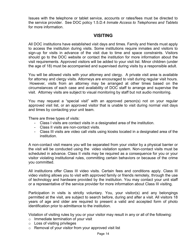Issues with the telephone or tablet service, accounts or rates/fees must be directed to the service provider. See DOC policy 1.5.D.4 Inmate Access to Telephones and Tablets for more information.

#### VISITING

All DOC institutions have established visit days and times. Family and friends must apply to access the institution during visits. Some institutions require inmates and visitors to sign-up for visits in advance of the visit due to time and space constraints. Visitors should go to the DOC website or contact the institution for more information about the visit requirements. Approved visitors will be added to your visit list. Minor children (under the age of 18) must be accompanied and supervised during visits by a responsible adult.

You will be allowed visits with your attorney and clergy. A private visit area is available for attorney and clergy visits. Attorneys are encouraged to visit during regular visit hours. However, visits from an attorney may be arranged at other times based on the circumstances of each case and availability of DOC staff to arrange and supervise the visit. Attorney visits are subject to visual monitoring by staff but not audio monitoring.

You may request a "special visit" with an approved person(s) not on your regular approved visit list, or an approved visitor that is unable to visit during normal visit days and times by contacting your unit team.

There are three types of visits:

- Class I visits are contact visits in a designated area of the institution.
- Class II visits are non-contact visits.
- Class III visits are video call visits using kiosks located in a designated area of the institution.

A non-contact visit means you will be separated from your visitor by a physical barrier or the visit will be conducted using the video visitation system. Non-contact visits must be scheduled in advance. Class II visits may be required as a consequence for you or your visitor violating institutional rules, committing certain behaviors or because of the crime you committed.

All institutions offer Class III video visits. Certain fees and conditions apply. Class III video visiting allows you to visit with approved family or friends remotely, through the use of technology and hardware provided by the institution. You may contact your unit staff or a representative of the service provider for more information about Class III visiting.

Participation in visits is strictly voluntary. You, your visitor(s) and any belongings permitted at the visit, are subject to search before, during and after a visit. All visitors 18 years of age and older are required to present a valid and accepted form of photo identification prior to admittance to the institution.

Violation of visiting rules by you or your visitor may result in any or all of the following:

- $\circ$  Immediate termination of your visit
- o Loss of visiting privileges
- o Removal of your visitor from your approved visit list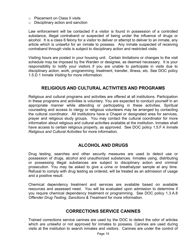- o Placement on Class II visits
- o Disciplinary action and sanction

Law enforcement will be contacted if a visitor is found in possession of a controlled substance, illegal contraband or suspected of being under the influence of drugs or alcohol. It is a class 6 felony for a visitor to deliver or attempt to deliver to an inmate, any article which is unlawful for an inmate to possess. Any inmate suspected of receiving contraband through visits is subject to disciplinary action and restricted visits.

Visiting hours are posted in your housing unit. Certain limitations or changes to the visit schedule may be imposed by the Warden or designee, as deemed necessary. It is your responsibility to notify your visitors if you are unable to participate in visits due to disciplinary action, work, programming, treatment, transfer, illness, etc. See DOC policy 1.5.D.1 Inmate Visiting for more information.

## RELIGIOUS AND CULTURAL ACTIVITIES AND PROGRAMS

Religious and cultural programs and activities are offered at all institutions. Participation in these programs and activities is voluntary. You are expected to conduct yourself in an appropriate manner while attending or participating in these activities. Spiritual counseling and access to clergy or religious volunteers may be arranged by contacting the cultural coordinator. All institutions have a Chapel or designated area for services, prayer and religious study groups. You may contact the cultural coordinator for more information about religious and cultural activities available at the institution. Inmates shall have access to certain religious property, as approved. See DOC policy 1.5.F.4 Inmate Religious and Cultural Activities for more information.

## ALCOHOL AND DRUGS

Drug testing, searches and other security measures are used to detect use or possession of drugs, alcohol and unauthorized substances. Inmates using, distributing or possessing illegal substances are subject to disciplinary action and criminal prosecution. You may be asked to give a urine or breathalyzer sample at any time. Refusal to comply with drug testing as ordered, will be treated as an admission of usage and a positive result.

Chemical dependency treatment and services are available based on available resources and assessed need. You will be evaluated upon admission to determine if you require chemical dependency treatment or programming. See DOC policy 1.3.A.8 Offender Drug Testing, Sanctions & Treatment for more information.

#### CORRECTIONS SERVICE CANINES

Trained corrections service canines are used by the DOC to detect the odor of articles which are unlawful or not approved for inmates to possess. Canines are used during visits at the institution to search inmates and visitors. Canines are under the control of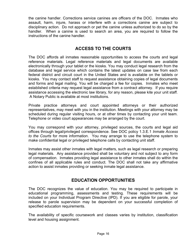the canine handler. Corrections service canines are officers of the DOC. Inmates who assault, harm, injure, harass or interfere with a corrections canine are subject to disciplinary action. Do not approach or pet the canine unless authorized to do so by the handler. When a canine is used to search an area, you are required to follow the instructions of the canine handler.

# ACCESS TO THE COURTS

The DOC affords all inmates reasonable opportunities to access the courts and legal reference materials. Legal reference materials and legal documents are available electronically through your tablet or the kiosks. You may conduct legal research from the database and legal service which contains the latest updates on case law from each federal district and circuit court in the United States and is available on the tablets or kiosks. You may contact staff to request assistance obtaining copies of legal documents and forms and legal mailing. You will be charged a fee for copies. Inmates who meet established criteria may request legal assistance from a contract attorney. If you require assistance accessing the electronic law library, for any reason, please kite your unit staff. A Notary Public is available at most institutions.

Private practice attorneys and court appointed attorneys or their authorized representatives, may meet with you in the institution. Meetings with your attorney may be scheduled during regular visiting hours, or at other times by contacting your unit team. Telephone or video court appearances may be arranged by the court.

You may correspond with your attorney, privileged sources, the courts and legal aid offices through legal/privileged correspondence. See DOC policy 1.3.E.1 Inmate Access to the Courts for more information. You may arrange to use the telephone system to make confidential legal or privileged telephone calls by contacting unit staff.

Inmates may assist other inmates with legal matters, such as legal research or preparing legal materials. Any assistance provided shall be voluntary and not subject to any form of compensation. Inmates providing legal assistance to other inmates shall do within the confines of all applicable rules and conduct. The DOC shall not take any affirmative action to assist inmates providing or seeking inmate legal assistance.

## EDUCATION OPPORTUNITIES

The DOC recognizes the value of education. You may be required to participate in educational programming, assessments and testing. These requirements will be included on your Individual Program Directive (IPD). If you are eligible for parole, your release to parole supervision may be dependent on your successful completion of specified education requirements.

The availability of specific coursework and classes varies by institution, classification level and housing assignment.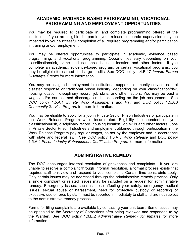#### ACADEMIC, EVIDENCE BASED PROGRAMMING, VOCATIONAL PROGRAMMING AND EMPLOYMENT OPPORTUNITIES

You may be required to participate in, and complete programming offered at the institution. If you are eligible for parole, your release to parole supervision may be impacted by your successful completion of all required programming and/or participation in training and/or employment.

You may be offered opportunities to participate in academic, evidence based programming, and vocational programming. Opportunities vary depending on your classification/risk, crime and sentence, housing location and other factors. If you complete an academic, evidence-based program, or certain vocational programs, you may be eligible for earned discharge credits. See DOC policy 1.4.B.17 Inmate Earned Discharge Credits for more information.

You may be assigned employment in institutional support, community service, natural disaster response or traditional prison industry, depending on your classification/risk, housing location, disciplinary record, job skills, and other factors. You may be paid a wage and/or earn earned discharge credits, depending on the job assignment. See DOC policy 1.5.A.1 Inmate Work Assignments and Pay and DOC policy 1.5.A.6 Community Service Program for more information.

You may be eligible to apply for a job in Private Sector Prison Industries or participate in the Work Release Program while incarcerated. Eligibility is dependent on your classification/risk, disciplinary record, housing location, job skills and other factors. Jobs in Private Sector Prison Industries and employment obtained through participation in the Work Release Program pay regular wages, as set by the employer and in accordance with state and federal law. See DOC policy 1.5.A.5 Work Release and DOC policy 1.5.A.2 Prison Industry Enhancement Certification Program for more information

## ADMINISTRATIVE REMEDY

The DOC encourages informal resolution of grievances and complaints. If you are unable to resolve a complaint through informal resolution, a formal process exists that requires staff to review and respond to your complaint. Certain time constraints apply. Only certain issues may be addressed through the administrative remedy process. Only a single compliant or related issues may be included on a request for administrative remedy. Emergency issues, such as those affecting your safety, emergency medical issues, sexual abuse or harassment, need for protective custody or reporting of excessive use of force by staff, must be reported immediately to staff and are not subject to the administrative remedy process.

Forms for filing complaints are available by contacting your unit team. Some issues may be appealed to the Secretary of Corrections after being reviewed and responded to by the Warden. See DOC policy 1.3.E.2 Administrative Remedy for Inmates for more information.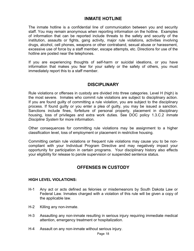#### INMATE HOTLINE

The inmate hotline is a confidential line of communication between you and security staff. You may remain anonymous when reporting information on the hotline. Examples of information that can be reported include threats to the safety and security of the institution, assaults or fights, gang activity, major rule violations, activities involving drugs, alcohol, cell phones, weapons or other contraband, sexual abuse or harassment, excessive use of force by a staff member, escape attempts, etc. Directions for use of the hotline are posted near the telephones.

If you are experiencing thoughts of self-harm or suicidal ideations, or you have information that makes you fear for your safety or the safety of others, you must immediately report this to a staff member.

## **DISCIPLINARY**

Rule violations or offenses in custody are divided into three categories. Level H (high) is the most severe. Inmates who commit rule violations are subject to disciplinary action. If you are found guilty of committing a rule violation, you are subject to the disciplinary process. If found guilty or you enter a plea of guilty, you may be issued a sanction. Sanctions include fines, forfeiture of personal property, placement in disciplinary housing, loss of privileges and extra work duties. See DOC policy 1.3.C.2 Inmate Discipline System for more information.

Other consequences for committing rule violations may be assignment to a higher classification level, loss of employment or placement in restrictive housing.

Committing certain rule violations or frequent rule violations may cause you to be noncompliant with your Individual Program Directive and may negatively impact your opportunity for participation in certain programs. Your disciplinary history also effects your eligibility for release to parole supervision or suspended sentence status.

## OFFENSES IN CUSTODY

#### HIGH LEVEL VIOLATIONS:

- H-1 Any act or acts defined as felonies or misdemeanors by South Dakota Law or Federal Law. Inmates charged with a violation of this rule will be given a copy of the applicable law.
- H-2 Killing any non-inmate.
- H-3 Assaulting any non-inmate resulting in serious injury requiring immediate medical attention, emergency treatment or hospitalization.
- H-4 Assault on any non-inmate without serious injury.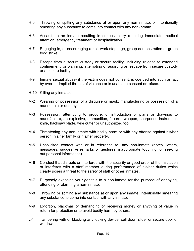- H-5 Throwing or spitting any substance at or upon any non-inmate; or intentionally smearing any substance to come into contact with any non-inmate.
- H-6 Assault on an inmate resulting in serious injury requiring immediate medical attention, emergency treatment or hospitalization.
- H-7 Engaging in, or encouraging a riot, work stoppage, group demonstration or group food strike.
- H-8 Escape from a secure custody or secure facility, including release to extended confinement, or planning, attempting or assisting an escape from secure custody or a secure facility.
- H-9 Inmate sexual abuse- if the victim does not consent, is coerced into such an act by overt or implied threats of violence or is unable to consent or refuse.
- H-10 Killing any inmate.
- M-2 Wearing or possession of a disguise or mask; manufacturing or possession of a mannequin or dummy.
- M-3 Possession, attempting to procure, or introduction of plans or drawings to manufacture, an explosive, ammunition, firearm, weapon, sharpened instrument, knife, hacksaw blade, wire cutter or unauthorized tool.
- M-4 Threatening any non-inmate with bodily harm or with any offense against his/her person, his/her family or his/her property.
- M-5 Unsolicited contact with or in reference to, any non-inmate (notes, letters, messages, suggestive remarks or gestures, inappropriate touching, or seeking out personal information).
- M-6 Conduct that disrupts or interferes with the security or good order of the institution or interferes with a staff member during performance of his/her duties which clearly poses a threat to the safety of staff or other inmates.
- M-7 Purposely exposing your genitals to a non-inmate for the purpose of annoying, offending or alarming a non-inmate.
- M-8 Throwing or spitting any substance at or upon any inmate; intentionally smearing any substance to come into contact with any inmate.
- M-9 Extortion, blackmail or demanding or receiving money or anything of value in return for protection or to avoid bodily harm by others.
- L-1 Tampering with or blocking any locking device, cell door, slider or secure door or window.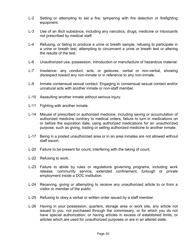- L-2 Setting or attempting to set a fire; tampering with fire detection or firefighting equipment.
- L-3 Use of an illicit substance, including any narcotics, drugs, medicine or intoxicants not prescribed by medical staff.
- L-4 Refusing, or failing to produce a urine or breath sample, refusing to participate in a urine or breath test, attempting to circumvent a urine or breath test or altering the results of the test.
- L-6 Unauthorized use, possession, introduction or manufacture of hazardous material.
- L-7 Insolence- any conduct, acts, or gestures, verbal or non-verbal, showing disrespect toward any non-inmate or in reference to any non-inmate.
- L-9 Inmate consensual sexual contact. Engaging in consensual sexual contact and/or unnatural acts with another inmate or non-staff member.
- L-10 Assaulting another inmate without serious injury.
- L-11 Fighting with another inmate.
- L-14 Misuse of prescribed or authorized medicine, including saving or accumulation of authorized medicine contrary to medical orders; failure to turn in medications on or before the expiration date; using authorized medications for an unauthorized purpose, such as giving, trading or selling authorized medicine to another inmate.
- L-17 Being in a posted unauthorized area or in an area inmates are not allowed without staff escort.
- L-20 Failure to be present for count; interfering with the taking of count.
- L-22 Refusing to work.
- L-23 Failure to abide by rules or regulations governing programs, including work release, community service, extended confinement, furlough or private employment inside a DOC institution.
- L-24 Receiving, giving or attempting to receive any unauthorized article to or from a visitor or member of the public.
- L-25 Refusing to obey a verbal or written order issued by a staff member.
- L-26 Having in your possession, quarters, storage area or work site, any article not issued to you, not purchased through the commissary, or for which you do not have special authorization; or having articles in excess of established limits, or articles which are used for unauthorized purposes or are in an altered state.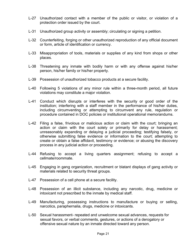- L-27 Unauthorized contact with a member of the public or visitor, or violation of a protection order issued by the court.
- L-31 Unauthorized group activity or assembly; circulating or signing a petition.
- L-32 Counterfeiting, forging or other unauthorized reproduction of any official document or form, article of identification or currency.
- L-33 Misappropriation of tools, materials or supplies of any kind from shops or other places.
- L-38 Threatening any inmate with bodily harm or with any offense against his/her person, his/her family or his/her property.
- L-39 Possession of unauthorized tobacco products at a secure facility.
- L-40 Following 5 violations of any minor rule within a three-month period, all future violations may constitute a major violation.
- L-41 Conduct which disrupts or interferes with the security or good order of the institution; interfering with a staff member in the performance of his/her duties, including circumventing or attempting to circumvent any rule, regulation or procedure contained in DOC policies or institutional operational memorandums.
- L-42 Filing a false, frivolous or malicious action or claim with the court; bringing an action or claim with the court solely or primarily for delay or harassment; unreasonably expanding or delaying a judicial proceeding; testifying falsely, or otherwise submitting false evidence or information to the court; attempting to create or obtain a false affidavit, testimony or evidence; or abusing the discovery process in any judicial action or proceeding.
- L-44 Refusing to accept a living quarters assignment; refusing to accept a cellmate/roommate.
- L-45 Engaging in gang organization, recruitment or blatant displays of gang activity or materials related to security threat groups.
- L-47 Possession of a cell phone at a secure facility.
- L-48 Possession of an illicit substance, including any narcotic, drug, medicine or intoxicant not prescribed to the inmate by medical staff.
- L-49 Manufacturing, possessing instructions to manufacture or buying or selling, narcotics, paraphernalia, drugs, medicine or intoxicants.
- L-50 Sexual harassment- repeated and unwelcome sexual advances, requests for sexual favors, or verbal comments, gestures, or actions of a derogatory or offensive sexual nature by an inmate directed toward any person.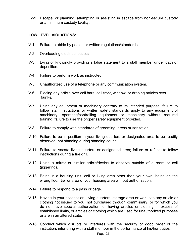L-51 Escape, or planning, attempting or assisting in escape from non-secure custody or a minimum custody facility.

#### LOW LEVEL VIOLATIONS:

- V-1 Failure to abide by posted or written regulations/standards.
- V-2 Overloading electrical outlets.
- V-3 Lying or knowingly providing a false statement to a staff member under oath or deposition.
- V-4 Failure to perform work as instructed.
- V-5 Unauthorized use of a telephone or any communication system.
- V-6 Placing any article over cell bars, cell front, window, or draping articles over bunks.
- V-7 Using any equipment or machinery contrary to its intended purpose; failure to follow staff instructions or written safety standards apply to any equipment of machinery; operating/controlling equipment or machinery without required training; failure to use the proper safety equipment provided.
- V-8 Failure to comply with standards of grooming, dress or sanitation.
- V-10 Failure to be in position in your living quarters or designated area to be readily observed; not standing during standing count.
- V-11 Failure to vacate living quarters or designated area; failure or refusal to follow instructions during a fire drill.
- V-12 Using a mirror or similar article/device to observe outside of a room or cell (jiggering).
- V-13 Being in a housing unit, cell or living area other than your own; being on the wrong floor, tier or area of your housing area without authorization.
- V-14 Failure to respond to a pass or page.
- V-15 Having in your possession, living quarters, storage area or work site any article or clothing not issued to you, not purchased through commissary, or for which you do not have special authorization; or having articles or clothing in excess of established limits, or articles or clothing which are used for unauthorized purposes or are in an altered state.
- V-16 Conduct which disrupts or interferes with the security or good order of the institution; interfering with a staff member in the performance of his/her duties.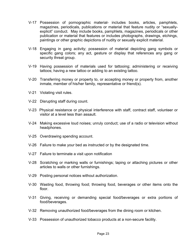- V-17 Possession of pornographic material- includes books, articles, pamphlets, magazines, periodicals, publications or material that feature nudity or "sexuallyexplicit" conduct. May include books, pamphlets, magazines, periodicals or other publication or material that features or includes photographs, drawings, etchings, paintings or other graphic depictions of nudity or sexually explicit material.
- V-18 Engaging in gang activity; possession of material depicting gang symbols or specific gang colors; any act, gesture or display that references any gang or security threat group.
- V-19 Having possession of materials used for tattooing; administering or receiving tattoos; having a new tattoo or adding to an existing tattoo.
- V-20 Transferring money or property to, or accepting money or property from, another inmate, member of his/her family, representative or friend(s).
- V-21 Violating visit rules.
- V-22 Disrupting staff during count.
- V-23 Physical resistance or physical interference with staff, contract staff, volunteer or visitor at a level less than assault.
- V-24 Making excessive loud noises; unruly conduct; use of a radio or television without headphones.
- V-25 Overdrawing spending account.
- V-26 Failure to make your bed as instructed or by the designated time.
- V-27 Failure to terminate a visit upon notification
- V-28 Scratching or marking walls or furnishings; taping or attaching pictures or other articles to walls or other furnishings.
- V-29 Posting personal notices without authorization.
- V-30 Wasting food, throwing food; throwing food, beverages or other items onto the floor.
- V-31 Giving, receiving or demanding special food/beverages or extra portions of food/beverages.
- V-32 Removing unauthorized food/beverages from the dining room or kitchen.
- V-33 Possession of unauthorized tobacco products at a non-secure facility.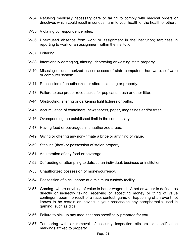- V-34 Refusing medically necessary care or failing to comply with medical orders or directives which could result in serious harm to your health or the health of others.
- V-35 Violating correspondence rules.
- V-36 Unexcused absence from work or assignment in the institution; tardiness in reporting to work or an assignment within the institution.
- V-37 Loitering.
- V-38 Intentionally damaging, altering, destroying or wasting state property.
- V-40 Misusing or unauthorized use or access of state computers, hardware, software or computer system.
- V-41 Possession of unauthorized or altered clothing or property.
- V-43 Failure to use proper receptacles for pop cans, trash or other litter.
- V-44 Obstructing, altering or darkening light fixtures or bulbs.
- V-45 Accumulation of containers, newspapers, paper, magazines and/or trash.
- V-46 Overspending the established limit in the commissary.
- V-47 Having food or beverages in unauthorized areas.
- V-49 Giving or offering any non-inmate a bribe or anything of value.
- V-50 Stealing (theft) or possession of stolen property.
- V-51 Adulteration of any food or beverage.
- V-52 Defrauding or attempting to defraud an individual, business or institution.
- V-53 Unauthorized possession of money/currency.
- V-54 Possession of a cell phone at a minimum custody facility.
- V-55 Gaming- where anything of value is bet or wagered. A bet or wager is defined as directly or indirectly taking, receiving or accepting money or thing of value contingent upon the result of a race, contest, game or happening of an event not known to be certain or, having in your possession any paraphernalia used in gaming, such as dice.
- V-56 Failure to pick up any meal that has specifically prepared for you.
- V-57 Tampering with or removal of, security inspection stickers or identification markings affixed to property.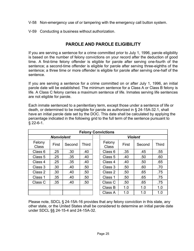- V-58 Non-emergency use of or tampering with the emergency call button system.
- V-59 Conducting a business without authorization.

## PAROLE AND PAROLE ELIGIBILITY

If you are serving a sentence for a crime committed prior to July 1, 1996, parole eligibility is based on the number of felony convictions on your record after the deduction of good time. A first-time felony offender is eligible for parole after serving one-fourth of the sentence; a second-time offender is eligible for parole after serving three-eighths of the sentence; a three time or more offender is eligible for parole after serving one-half of the sentence.

If you are serving a sentence for a crime committed on or after July 1, 1996, an initial parole date will be established. The minimum sentence for a Class A or Class B felony is life. A Class C felony carries a maximum sentence of life. Inmates serving life sentences are not eligible for parole.

Each inmate sentenced to a penitentiary term, except those under a sentence of life or death, or determined to be ineligible for parole as authorized in § 24-15A-32.1, shall have an initial parole date set by the DOC. This date shall be calculated by applying the percentage indicated in the following grid to the full term of the sentence pursuant to § 22-6-1.

| <b>Felony Convictions</b> |       |                  |              |                |                        |       |        |              |
|---------------------------|-------|------------------|--------------|----------------|------------------------|-------|--------|--------------|
| <b>Nonviolent</b>         |       |                  |              | <b>Violent</b> |                        |       |        |              |
| Felony<br><b>Class</b>    | First | Second           | <b>Third</b> |                | Felony<br><b>Class</b> | First | Second | <b>Third</b> |
| Class 6                   | .25   | .30 <sub>1</sub> | .40          |                | Class 6                | .35   | .45    | .55          |
| Class 5                   | .25   | .35              | .40          |                | Class 5                | .40   | .50    | .60          |
| Class 4                   | .25   | .35              | .40          |                | Class 4                | .40   | .50    | .65          |
| Class 3                   | .30   | .40              | .50          |                | Class 3                | .50   | .60    | .70          |
| Class 2                   | .30   | .40              | .50          |                | Class 2                | .50   | .65    | .75          |
| Class 1                   | .35   | .40              | .50          |                | Class 1                | .50   | .65    | .75          |
| Class C                   | .35   | .40              | .50          |                | Class C                | .50   | .65    | .75          |
|                           |       |                  |              |                | Class B                | 1.0   | 1.0    | 1.0          |
|                           |       |                  |              |                | Class A                | 1.0   | 1.0    | 1.0          |

Please note, SDCL § 24-15A-16 provides that any felony conviction in this state, any other state, or the United States shall be considered to determine an initial parole date under SDCL §§ 24-15-4 and 24-15A-32.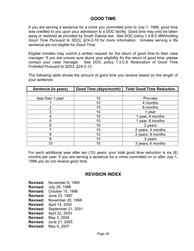## GOOD TIME

If you are serving a sentence for a crime you committed prior to July 1, 1996, good time was credited to you upon your admission to a DOC facility. Good time may only be taken away or restored as provided by South Dakota law. See DOC policy 1.4.B.5 Withholding Good Time Pursuant to SDCL §24-2-18 for more information. Inmates serving a life sentence are not eligible for Good Time.

Eligible inmates may submit a written request for the return of good time to their case manager. If you are unsure sure about your eligibility for the return of good time, please contact your case manager. See DOC policy 1.3.C.6 Restoration of Good Time Forfeited Pursuant to SDCL §24-2-12.

The following table shows the amount of good time you receive based on the length of your sentence:

| Sentence (in years) | <b>Good Time (days/month)</b> | <b>Total Good Time Reduction</b> |  |
|---------------------|-------------------------------|----------------------------------|--|
|                     |                               |                                  |  |
| less than 1 year    | 10                            | Pro-rata                         |  |
|                     | 10                            | 4 months                         |  |
| າ                   | 10                            | 8 months                         |  |
| 3                   | 10                            | year                             |  |
|                     | 10                            | year, 4 months                   |  |
| 5                   | 10                            | 1 year, 8 months                 |  |
| 6                   | 10                            | 2 years                          |  |
|                     | 10                            | 2 years, 4 months                |  |
| 8                   | 10                            | 2 years, 8 months                |  |
| 9                   | 10                            | 3 years                          |  |
| 10                  | 15                            | 3 years, 6 months                |  |

For each additional year after ten (10) years, your total good time reduction is six (6) months per year. If you are serving a sentence for a crime committed on or after July 1, 1996 you do not receive good time.

## REVISION INDEX

Revised: November 6, 1995 Revised: July 26, 1996 Revised: October 15, 1996 Revised: June 23, 1997 Revised: November 20, 1998 Revised: April 14, 2000 Revised: September 21, 2001 Revised: April 22, 2003 Revised: May 3, 2004 Revised: June 21, 2005 Revised: May 9, 2007